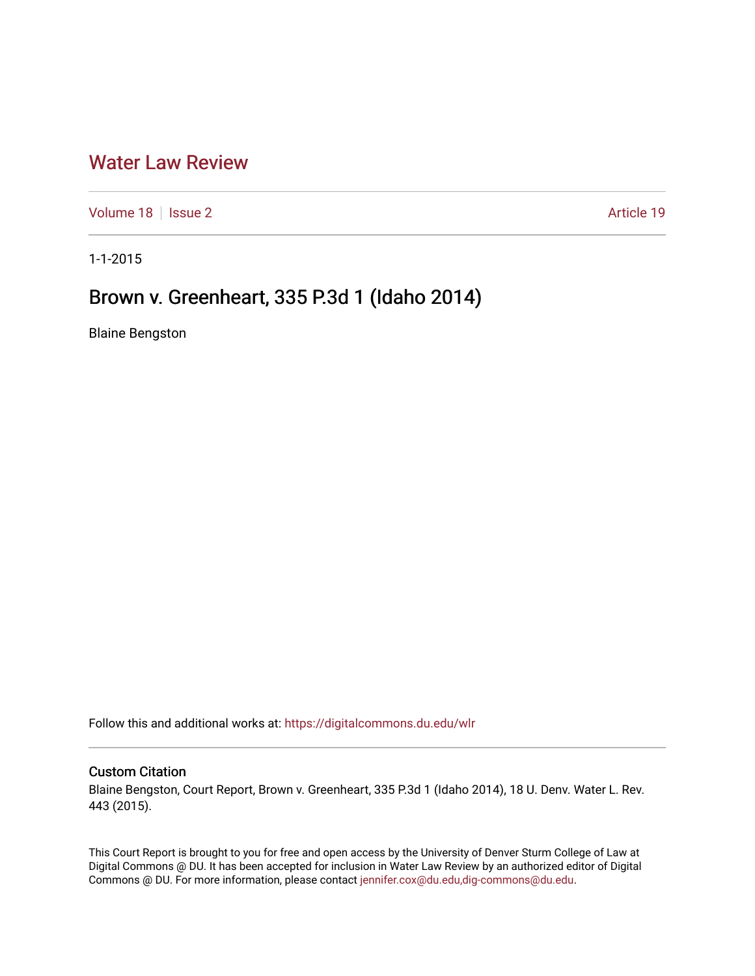## [Water Law Review](https://digitalcommons.du.edu/wlr)

[Volume 18](https://digitalcommons.du.edu/wlr/vol18) | [Issue 2](https://digitalcommons.du.edu/wlr/vol18/iss2) Article 19

1-1-2015

# Brown v. Greenheart, 335 P.3d 1 (Idaho 2014)

Blaine Bengston

Follow this and additional works at: [https://digitalcommons.du.edu/wlr](https://digitalcommons.du.edu/wlr?utm_source=digitalcommons.du.edu%2Fwlr%2Fvol18%2Fiss2%2F19&utm_medium=PDF&utm_campaign=PDFCoverPages) 

#### Custom Citation

Blaine Bengston, Court Report, Brown v. Greenheart, 335 P.3d 1 (Idaho 2014), 18 U. Denv. Water L. Rev. 443 (2015).

This Court Report is brought to you for free and open access by the University of Denver Sturm College of Law at Digital Commons @ DU. It has been accepted for inclusion in Water Law Review by an authorized editor of Digital Commons @ DU. For more information, please contact [jennifer.cox@du.edu,dig-commons@du.edu.](mailto:jennifer.cox@du.edu,dig-commons@du.edu)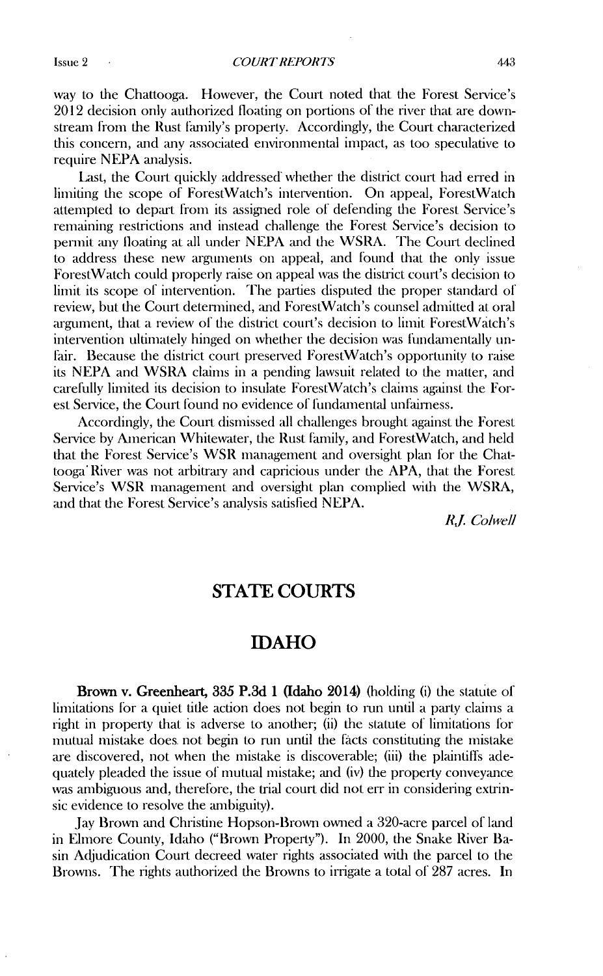way to the Chattooga. However, the Court noted that the Forest Service's 2012 decision only authorized floating on portions of the river that are downstream from the Rust family's property. Accordingly, the Court characterized this concern, and any associated environmental impact, as too speculative to require NEPA analysis.

Last, the Court quickly addressed" whether the district court had erred in limiting the scope of ForestWatch's intervention. On appeal, ForestWatch attempted to depart from its assigied role of defending the Forest Service's remaining restrictions and instead challenge the Forest Service's decision to permit any floating at all under NEPA and the WSRA. The Court declined to address these new arguments on appeal, and found that the only issue ForestWatch could properly raise on appeal was the district court's decision to limit its scope of intervention. The parties disputed the proper standard of review, but the Court deternined, and ForestWatch's counsel admitted at oral argument, that a review of the district court's decision to limit ForestWatch's intervention ultimately hinged on whether the decision was fundamentally un-Fair. Because the district court preserved ForestWatch's opportunity to raise its NEPA and WSRA claims in a pending lawsuit related to the matter, and carefully limited its decision to insulate ForestWatch's claims against the Forest Service, the Court found no evidence of fundamental unfairness.

Accordingly, the Court dismissed all challenges brought against the Forest Service by American Whitewater, the Rust family, and ForestWatch, and held that the Forest Service's WSR management and oversight plan for the Chattooga' River was not arbitrary and capricious under the APA, that the Forest Service's WSR management and oversight plan complied with the WSRA, and that the Forest Service's analysis satisfied NEPA.

*R. Co/well*

## **STATE COURTS**

## **IDAHO**

**Brown v. Greenheart, 335 P.3d 1 (Idaho 2014) (holding (i)** the statute of limitations for a quiet title action does not begin to run until a party claims a right in property that is adverse to another; (ii) the statute of limitations for mutual mistake does. not begin to run until the fdcts constituting the mistake are discovered, not when the mistake is discoverable; (iii) the plaintiffs adequately pleaded the issue of mutual mistake; and (iv) the property conveyance was ambiguous and, therefore, the trial court did not err in considering extrinsic evidence to resolve the anbiguity).

Jay Brown and Christine Hopson-Brown owned a 320-acre parcel of land in Elmore County, Idaho ("Brown Property"). In 2000, the Snake River Basin **Ad** judication Court decreed water rights associated with the parcel to the Browns. The rights authorized the Browns to irrigate a total of 287 acres. In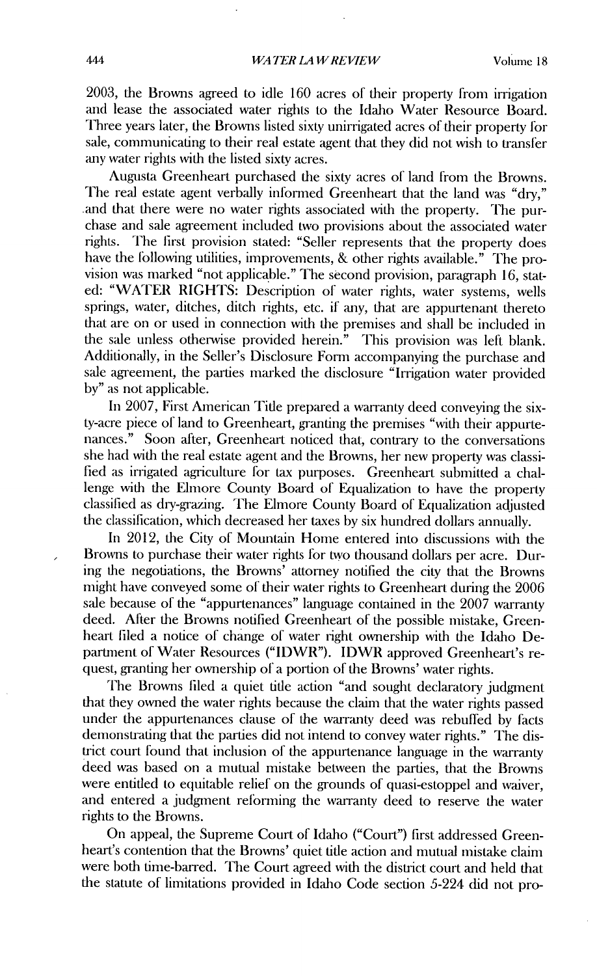2003, the Browns agreed to idle 160 acres of their property from irrigation and lease the associated water rights to the Idaho Water Resource Board. Three years later, the Browns listed sixty unirrigated acres of their property for sale, communicating to their real estate agent that they did not wish to transfer any water rights with the listed sixty acres.

Augusta Greenheart purchased the sixty acres of land from the Browns. The real estate agent verbally informed Greenheart that the land was "dry," and that there were no water rights associated with the property. The purchase and sale agreement included two provisions about the associated water rights. The first provision stated: "Seller represents that the property does have the following utilities, improvements, & other rights available." The provision was marked "not applicable." The second provision, paragraph 16, stated: "WATER RIGHTS: Description of water rights, water systems, wells springs, water, ditches, ditch rights, etc. if any, that are appurtenant thereto that are on or used in connection with the premises and shall be included in the sale unless otherwise provided herein." This provision was left blank. Additionally, in the Seller's Disclosure Form accompanying the purchase and sale agreement, the parties marked the disclosure "Irrigation water provided by" as not applicable.

In 2007, First American Title prepared a warranty deed conveying the sixty-acre piece of land to Greenheart, granting the premises "with their appurtenances." Soon after, Greenheart noticed that, contrary to the conversations she had with the real estate agent and the Browns, her new property was classified as irrigated agriculture for tax purposes. Greenheart submitted a challenge with the Elmore County Board of Equalization to have the property classilied as dry-grazing. The Elmore County Board of Equalization adjusted the classification, which decreased her taxes by six hundred dollars annually.

In 2012, the City of Mountain Home entered into discussions with the Browns to purchase their water rights for two thousand dollars per acre. During the negotiations, the Browns' attorney notified the city that the Browns might have conveyed some of their water rights to Greenheart during the 2006 sale because of the "appurtenances" language contained in the 2007 warranty deed. After the Browns notified Greenheart of the possible mistake, Greenheart filed a notice of change of water right ownership with the Idaho Department of Water Resources ("IDWR"). IDWR approved Greenheart's request, granting her ownership of a portion of the Browns' water rights.

The Browns filed a quiet title action "and sought declaratory judgment that they owned the water rights because the claim that the water rights passed under the appurtenances clause of the warranty deed was rebuffed by facts demonstrating that the parties did not intend to convey water rights." The district court found that inclusion of the appurtenance language in the warranty deed was based on a mutual mistake between the parties, that the Browns were entitled to equitable relief on the grounds of quasi-estoppel and waiver, and entered a judgment reforming the warranty deed to reserve the water rights to the Browns.

On appeal, the Supreme Court of Idaho ("Court") first addressed Greenheart's contention that the Browns' quiet title action and mutual mistake claim were both time-barred. The Court agreed with the district court and held that the statute of limitations provided in Idaho Code section 5-224 did not pro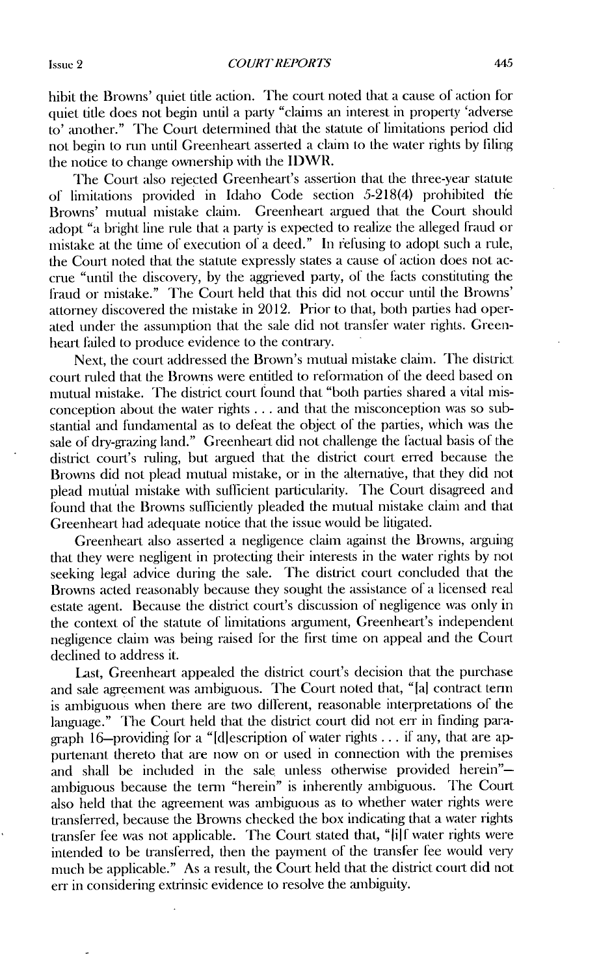hibit the Browns' quiet title action. The court noted that a cause of action for quiet title does not begin until a party "claims an interest in property 'adverse to' another." The Court determined that the statute of limitations period did not begin to rin until Greenheart asserted a claim to the water rights by **filing** the notice to change ownership with the IDWR.

The Court also rejected Greenheart's assertion that the three-year statute of limnitations provided in Idaho Code section 5-218(4) prohibited the Browns' mutual mistake claim. Greenheart argued that the Court should adopt "a bright line rule that a party is expected to realize the alleged fraud or mistake at the time of execution of a deed." In refusing to adopt such a rule, the Court noted that the statute expressly states a cause of action does not accrue "until the discovery, by the aggrieved party, of the facts constituting the fraud or mistake." The Court held that this did not occur until the Browns' attorney discovered the mistake in 2012. Prior to that, both parties had operated under the assumption that the sale did not transfer water rights. Greenheart failed to produce evidence to the contrary.

Next, the court addressed the Brown's mutual mistake claim. The district court ruled that the Browns were entitled to reformation of the deed based on mutual mistake. The district court found that "both parties shared a vital misconception about the water rights **...** and that the misconception was so substantial and fundamental as to deleat the object of the parties, which was die sale of dry-grazing land." Greenheart did not challenge the factual basis of the district court's ruling, but argued that the district court erred because die Browns did not plead mutual mistake, or in the alternative, that they did not plead mutfial mistake with sufficient particularity. The Court disagreed and found that the Browns sufficiently pleaded the mutual mistake claim and that Greenheart had adequate notice that the issue would be litigated.

Greenheart also asserted a negligence claim against the Browns, arguing that they were negligent in protecting their interests in the water rights by not seeking legal advice during the sale. The district court concluded that the Browns acted reasonably because they sought the assistance of a licensed rcal estate agent. Because the district court's discussion of negligence was only in the context of the statute of limitations argument, Greenheart's independent negligence claim was being raised for the first time on appeal and the Court declined to address it.

Last, Greenheart appealed the district court's decision that the purchase and sale agreement was ambiguous. The Court noted that, "[a] contract term is ambiguous when there are two different, reasonable interpretations of the language." The Court held that the district court did not err in finding paragraph 16-providing for a "[djescription of water rights **...** if any, that are appurtenant thereto that are now on or used in connection with the premises and shall be included in the sale unless otherwise provided herein"ambiguous because the tenn "herein" is inherently ambiguous. The Court also held that the agreement was ambiguous as to whether water rights were transferred, because the Browns checked the box indicating that a water rights transfer fee was not applicable. The Court stated that, "Jijf water rights were intended to be transferred, then the payment of the transfer fee would very much be applicable." As a result, the Court held that the district court did not err in considering extrinsic evidence to resolve the ambiguity.